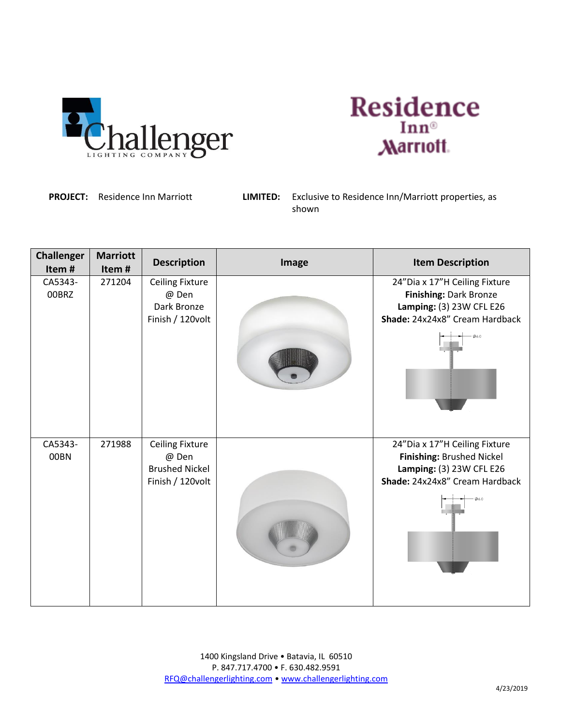



**PROJECT:** Residence Inn Marriott **LIMITED:** Exclusive to Residence Inn/Marriott properties, as shown

| <b>Challenger</b><br>Item# | <b>Marriott</b><br>Item# | <b>Description</b>             | Image | <b>Item Description</b>                               |
|----------------------------|--------------------------|--------------------------------|-------|-------------------------------------------------------|
| CA5343-                    | 271204                   | <b>Ceiling Fixture</b>         |       | 24"Dia x 17"H Ceiling Fixture                         |
| 00BRZ                      |                          | @ Den<br>Dark Bronze           |       | Finishing: Dark Bronze<br>Lamping: (3) 23W CFL E26    |
|                            |                          | Finish / 120volt               |       | Shade: 24x24x8" Cream Hardback                        |
|                            |                          |                                |       | 06.0                                                  |
| CA5343-                    | 271988                   | <b>Ceiling Fixture</b>         |       | 24"Dia x 17"H Ceiling Fixture                         |
| 00BN                       |                          | @ Den<br><b>Brushed Nickel</b> |       | Finishing: Brushed Nickel<br>Lamping: (3) 23W CFL E26 |
|                            |                          | Finish / 120volt               |       | Shade: 24x24x8" Cream Hardback                        |
|                            |                          |                                |       |                                                       |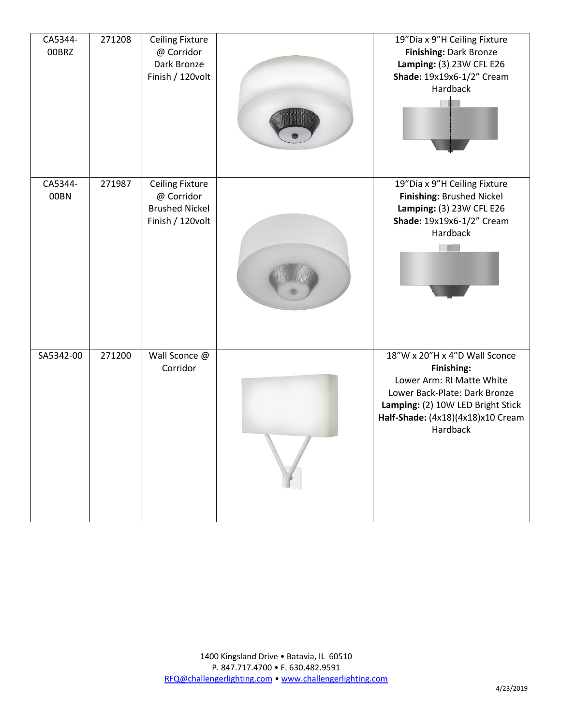| CA5344-<br>00BRZ | 271208 | <b>Ceiling Fixture</b><br>@ Corridor<br>Dark Bronze<br>Finish / 120volt           | 19"Dia x 9"H Ceiling Fixture<br>Finishing: Dark Bronze<br>Lamping: (3) 23W CFL E26<br>Shade: 19x19x6-1/2" Cream<br>Hardback                                                                     |
|------------------|--------|-----------------------------------------------------------------------------------|-------------------------------------------------------------------------------------------------------------------------------------------------------------------------------------------------|
| CA5344-<br>00BN  | 271987 | <b>Ceiling Fixture</b><br>@ Corridor<br><b>Brushed Nickel</b><br>Finish / 120volt | 19"Dia x 9"H Ceiling Fixture<br>Finishing: Brushed Nickel<br>Lamping: (3) 23W CFL E26<br>Shade: 19x19x6-1/2" Cream<br>Hardback                                                                  |
| SA5342-00        | 271200 | Wall Sconce @<br>Corridor                                                         | 18"W x 20"H x 4"D Wall Sconce<br>Finishing:<br>Lower Arm: RI Matte White<br>Lower Back-Plate: Dark Bronze<br>Lamping: (2) 10W LED Bright Stick<br>Half-Shade: (4x18)(4x18)x10 Cream<br>Hardback |